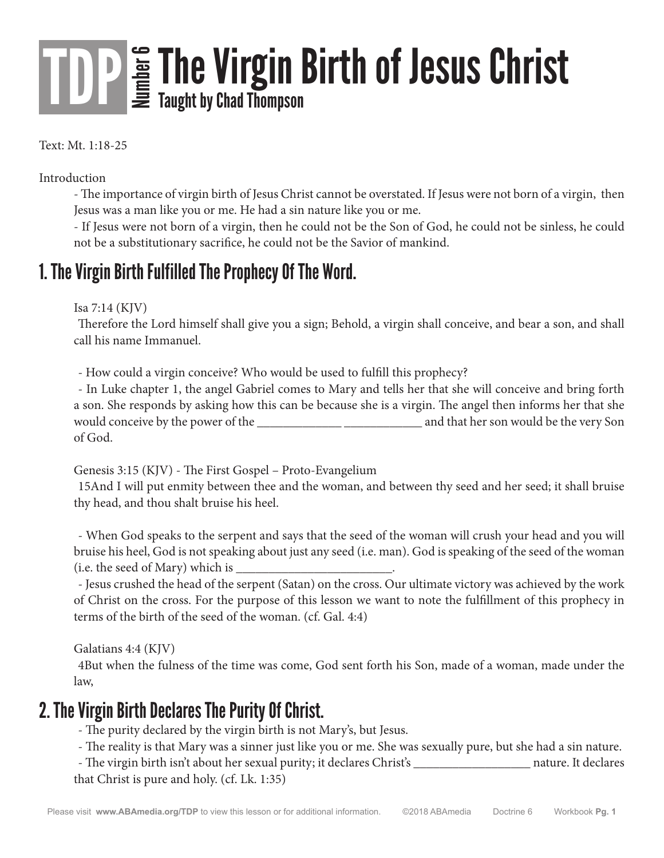# The Virgin Birth of Jesus Christ

Text: Mt. 1:18-25

Introduction

- The importance of virgin birth of Jesus Christ cannot be overstated. If Jesus were not born of a virgin, then Jesus was a man like you or me. He had a sin nature like you or me.

- If Jesus were not born of a virgin, then he could not be the Son of God, he could not be sinless, he could not be a substitutionary sacrifice, he could not be the Savior of mankind.

### 1. The Virgin Birth Fulfilled The Prophecy Of The Word.

Isa 7:14 (KJV)

Therefore the Lord himself shall give you a sign; Behold, a virgin shall conceive, and bear a son, and shall call his name Immanuel.

- How could a virgin conceive? Who would be used to fulfill this prophecy?

- In Luke chapter 1, the angel Gabriel comes to Mary and tells her that she will conceive and bring forth a son. She responds by asking how this can be because she is a virgin. The angel then informs her that she would conceive by the power of the \_\_\_\_\_\_\_\_\_\_\_\_\_ \_\_\_\_\_\_\_\_\_\_\_\_ and that her son would be the very Son of God.

Genesis 3:15 (KJV) - The First Gospel – Proto-Evangelium

15And I will put enmity between thee and the woman, and between thy seed and her seed; it shall bruise thy head, and thou shalt bruise his heel.

- When God speaks to the serpent and says that the seed of the woman will crush your head and you will bruise his heel, God is not speaking about just any seed (i.e. man). God is speaking of the seed of the woman (i.e. the seed of Mary) which is  $\overline{\phantom{a}}$ 

- Jesus crushed the head of the serpent (Satan) on the cross. Our ultimate victory was achieved by the work of Christ on the cross. For the purpose of this lesson we want to note the fulfillment of this prophecy in terms of the birth of the seed of the woman. (cf. Gal. 4:4)

Galatians 4:4 (KJV)

4But when the fulness of the time was come, God sent forth his Son, made of a woman, made under the law,

### 2. The Virgin Birth Declares The Purity Of Christ.

- The purity declared by the virgin birth is not Mary's, but Jesus.

- The reality is that Mary was a sinner just like you or me. She was sexually pure, but she had a sin nature.

- The virgin birth isn't about her sexual purity; it declares Christ's \_\_\_\_\_\_\_\_\_\_\_\_\_\_\_\_\_\_ nature. It declares that Christ is pure and holy. (cf. Lk. 1:35)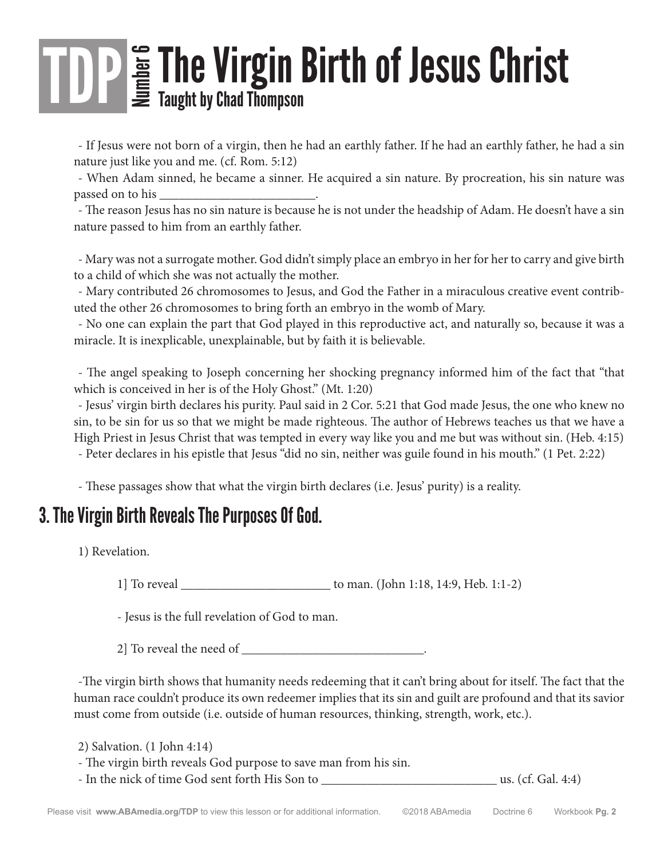# THE Virgin Birth of Jesus Christ

- If Jesus were not born of a virgin, then he had an earthly father. If he had an earthly father, he had a sin nature just like you and me. (cf. Rom. 5:12)

- When Adam sinned, he became a sinner. He acquired a sin nature. By procreation, his sin nature was passed on to his \_\_\_\_\_\_\_\_\_\_\_\_\_\_\_\_\_\_\_\_\_\_\_\_.

- The reason Jesus has no sin nature is because he is not under the headship of Adam. He doesn't have a sin nature passed to him from an earthly father.

- Mary was not a surrogate mother. God didn't simply place an embryo in her for her to carry and give birth to a child of which she was not actually the mother.

- Mary contributed 26 chromosomes to Jesus, and God the Father in a miraculous creative event contributed the other 26 chromosomes to bring forth an embryo in the womb of Mary.

- No one can explain the part that God played in this reproductive act, and naturally so, because it was a miracle. It is inexplicable, unexplainable, but by faith it is believable.

- The angel speaking to Joseph concerning her shocking pregnancy informed him of the fact that "that which is conceived in her is of the Holy Ghost." (Mt. 1:20)

- Jesus' virgin birth declares his purity. Paul said in 2 Cor. 5:21 that God made Jesus, the one who knew no sin, to be sin for us so that we might be made righteous. The author of Hebrews teaches us that we have a High Priest in Jesus Christ that was tempted in every way like you and me but was without sin. (Heb. 4:15) - Peter declares in his epistle that Jesus "did no sin, neither was guile found in his mouth." (1 Pet. 2:22)

- These passages show that what the virgin birth declares (i.e. Jesus' purity) is a reality.

### 3. The Virgin Birth Reveals The Purposes Of God.

1) Revelation.

1] To reveal \_\_\_\_\_\_\_\_\_\_\_\_\_\_\_\_\_\_\_\_\_\_\_ to man. (John 1:18, 14:9, Heb. 1:1-2)

- Jesus is the full revelation of God to man.

2] To reveal the need of  $\overline{\phantom{a}}$ 

-The virgin birth shows that humanity needs redeeming that it can't bring about for itself. The fact that the human race couldn't produce its own redeemer implies that its sin and guilt are profound and that its savior must come from outside (i.e. outside of human resources, thinking, strength, work, etc.).

2) Salvation. (1 John 4:14) - The virgin birth reveals God purpose to save man from his sin. - In the nick of time God sent forth His Son to \_\_\_\_\_\_\_\_\_\_\_\_\_\_\_\_\_\_\_\_\_\_\_\_\_\_\_ us. (cf. Gal. 4:4)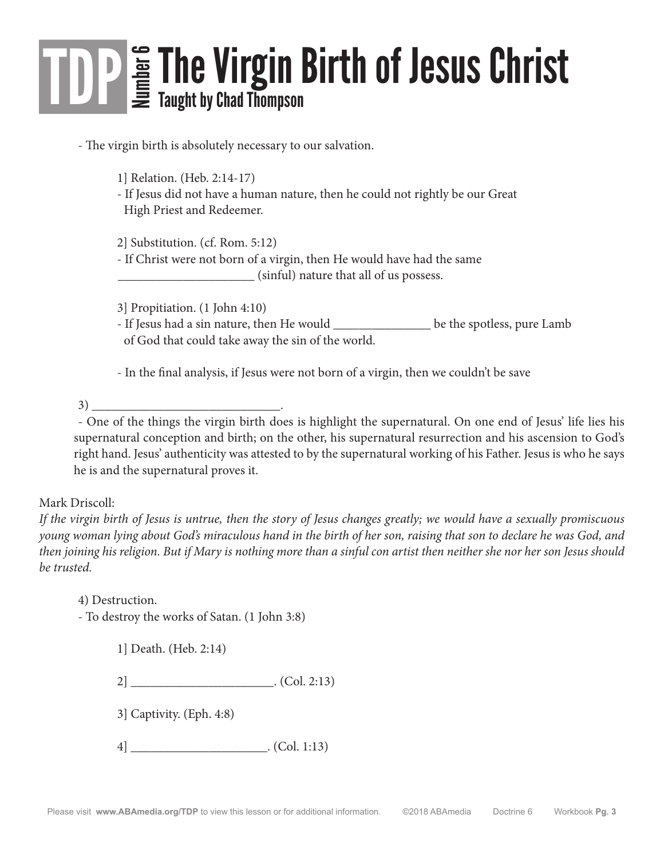# The Virgin Birth of Jesus Christ

- The virgin birth is absolutely necessary to our salvation.

1] Relation. (Heb. 2:14-17)

 - If Jesus did not have a human nature, then he could not rightly be our Great High Priest and Redeemer.

 2] Substitution. (cf. Rom. 5:12) - If Christ were not born of a virgin, then He would have had the same \_\_\_\_\_\_\_\_\_\_\_\_\_\_\_\_\_\_\_\_\_ (sinful) nature that all of us possess.

3] Propitiation. (1 John 4:10)

 - If Jesus had a sin nature, then He would \_\_\_\_\_\_\_\_\_\_\_\_\_\_\_ be the spotless, pure Lamb of God that could take away the sin of the world.

- In the final analysis, if Jesus were not born of a virgin, then we couldn't be save

3)

- One of the things the virgin birth does is highlight the supernatural. On one end of Jesus' life lies his supernatural conception and birth; on the other, his supernatural resurrection and his ascension to God's right hand. Jesus' authenticity was attested to by the supernatural working of his Father. Jesus is who he says he is and the supernatural proves it.

#### Mark Driscoll:

*If the virgin birth of Jesus is untrue, then the story of Jesus changes greatly; we would have a sexually promiscuous young woman lying about God's miraculous hand in the birth of her son, raising that son to declare he was God, and then joining his religion. But if Mary is nothing more than a sinful con artist then neither she nor her son Jesus should be trusted.* 

4) Destruction. - To destroy the works of Satan. (1 John 3:8)

1] Death. (Heb. 2:14)

2] \_\_\_\_\_\_\_\_\_\_\_\_\_\_\_\_\_\_\_\_\_\_. (Col. 2:13)

3] Captivity. (Eph. 4:8)

 $4]$  \_\_\_\_\_\_\_\_\_\_\_\_\_\_\_\_\_\_\_\_\_\_. (Col. 1:13)